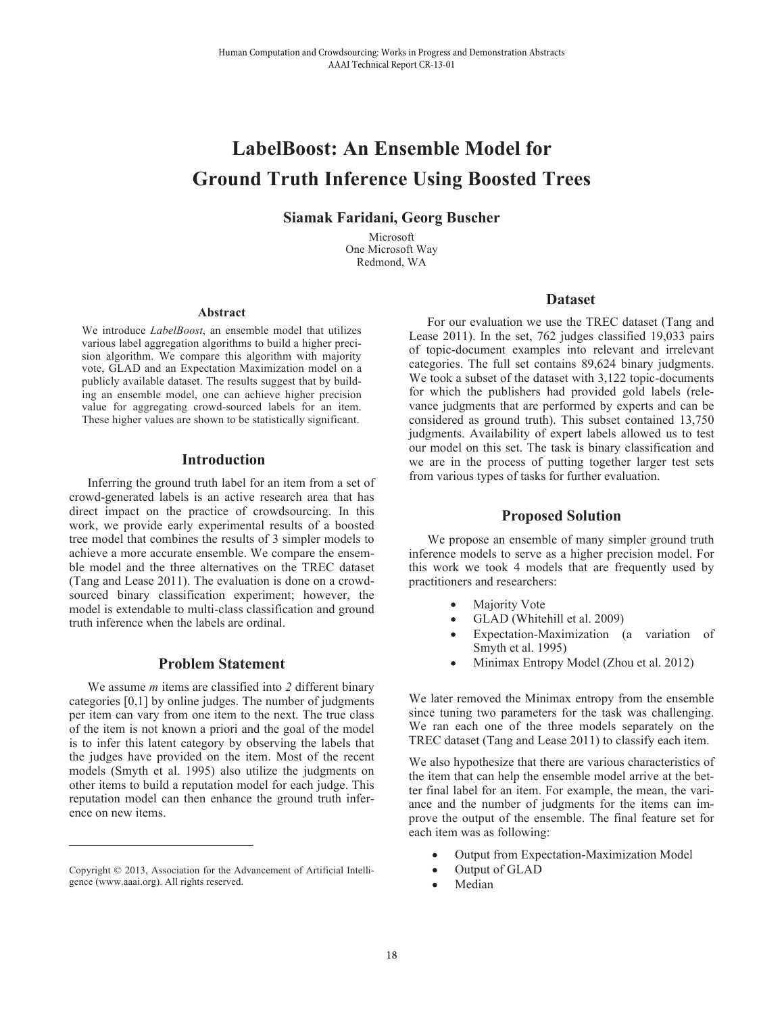# **LabelBoost: An Ensemble Model for Ground Truth Inference Using Boosted Trees**

**Siamak Faridani, Georg Buscher**

Microsoft One Microsoft Way Redmond, WA

#### **Abstract**

We introduce *LabelBoost*, an ensemble model that utilizes various label aggregation algorithms to build a higher precision algorithm. We compare this algorithm with majority vote, GLAD and an Expectation Maximization model on a publicly available dataset. The results suggest that by building an ensemble model, one can achieve higher precision value for aggregating crowd-sourced labels for an item. These higher values are shown to be statistically significant.

#### **Introduction**

Inferring the ground truth label for an item from a set of crowd-generated labels is an active research area that has direct impact on the practice of crowdsourcing. In this work, we provide early experimental results of a boosted tree model that combines the results of 3 simpler models to achieve a more accurate ensemble. We compare the ensemble model and the three alternatives on the TREC dataset (Tang and Lease 2011). The evaluation is done on a crowdsourced binary classification experiment; however, the model is extendable to multi-class classification and ground truth inference when the labels are ordinal.

## **Problem Statement**

We assume *m* items are classified into *2* different binary categories [0,1] by online judges. The number of judgments per item can vary from one item to the next. The true class of the item is not known a priori and the goal of the model is to infer this latent category by observing the labels that the judges have provided on the item. Most of the recent models (Smyth et al. 1995) also utilize the judgments on other items to build a reputation model for each judge. This reputation model can then enhance the ground truth inference on new items.

 $\overline{a}$ 

### **Dataset**

For our evaluation we use the TREC dataset (Tang and Lease 2011). In the set, 762 judges classified 19,033 pairs of topic-document examples into relevant and irrelevant categories. The full set contains 89,624 binary judgments. We took a subset of the dataset with 3,122 topic-documents for which the publishers had provided gold labels (relevance judgments that are performed by experts and can be considered as ground truth). This subset contained 13,750 judgments. Availability of expert labels allowed us to test our model on this set. The task is binary classification and we are in the process of putting together larger test sets from various types of tasks for further evaluation. Itsman Computation and Complementarius Computer Computer Computer Computer Siamak Faridiani, Georg Buscher Siamak Faridani, Georg Buscher Siamak Faridani, Georg Buscher Computer Computer Computer Computer Computer Compute

#### **Proposed Solution**

We propose an ensemble of many simpler ground truth inference models to serve as a higher precision model. For this work we took 4 models that are frequently used by practitioners and researchers:

- Majority Vote
- GLAD (Whitehill et al. 2009)
- Expectation-Maximization (a variation of Smyth et al. 1995)
- Minimax Entropy Model (Zhou et al. 2012)

We later removed the Minimax entropy from the ensemble since tuning two parameters for the task was challenging. We ran each one of the three models separately on the TREC dataset (Tang and Lease 2011) to classify each item.

We also hypothesize that there are various characteristics of the item that can help the ensemble model arrive at the better final label for an item. For example, the mean, the variance and the number of judgments for the items can improve the output of the ensemble. The final feature set for each item was as following:

- Output from Expectation-Maximization Model
- Output of GLAD
- Median

Copyright © 2013, Association for the Advancement of Artificial Intelligence (www.aaai.org). All rights reserved.